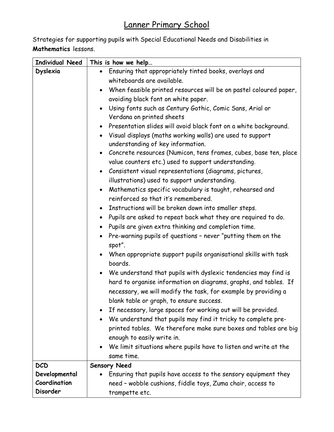## Lanner Primary School

Strategies for supporting pupils with Special Educational Needs and Disabilities in Mathematics lessons.

| <b>Individual Need</b> | This is how we help                                                        |
|------------------------|----------------------------------------------------------------------------|
| Dyslexia               | • Ensuring that appropriately tinted books, overlays and                   |
|                        | whiteboards are available.                                                 |
|                        | When feasible printed resources will be on pastel coloured paper,          |
|                        | avoiding black font on white paper.                                        |
|                        | Using fonts such as Century Gothic, Comic Sans, Arial or                   |
|                        | Verdana on printed sheets                                                  |
|                        | • Presentation slides will avoid black font on a white background.         |
|                        | • Visual displays (maths working walls) are used to support                |
|                        | understanding of key information.                                          |
|                        | • Concrete resources (Numicon, tens frames, cubes, base ten, place         |
|                        | value counters etc.) used to support understanding.                        |
|                        | • Consistent visual representations (diagrams, pictures,                   |
|                        | illustrations) used to support understanding.                              |
|                        | Mathematics specific vocabulary is taught, rehearsed and                   |
|                        | reinforced so that it's remembered.                                        |
|                        | Instructions will be broken down into smaller steps.<br>$\bullet$          |
|                        | • Pupils are asked to repeat back what they are required to do.            |
|                        | • Pupils are given extra thinking and completion time.                     |
|                        | Pre-warning pupils of questions - never "putting them on the<br>$\bullet$  |
|                        | spot".                                                                     |
|                        | When appropriate support pupils organisational skills with task            |
|                        | boards.                                                                    |
|                        | • We understand that pupils with dyslexic tendencies may find is           |
|                        | hard to organise information on diagrams, graphs, and tables. If           |
|                        | necessary, we will modify the task, for example by providing a             |
|                        | blank table or graph, to ensure success.                                   |
|                        | If necessary, large spaces for working out will be provided.               |
|                        | We understand that pupils may find it tricky to complete pre-<br>$\bullet$ |
|                        | printed tables. We therefore make sure boxes and tables are big            |
|                        | enough to easily write in.                                                 |
|                        | We limit situations where pupils have to listen and write at the           |
|                        | same time.                                                                 |
| <b>DCD</b>             | <b>Sensory Need</b>                                                        |
| Developmental          | Ensuring that pupils have access to the sensory equipment they             |
| Coordination           | need - wobble cushions, fiddle toys, Zuma chair, access to                 |
| Disorder               | trampette etc.                                                             |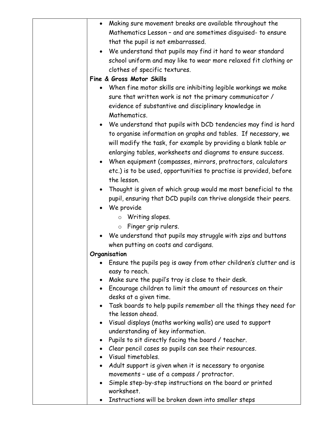| Making sure movement breaks are available throughout the                      |
|-------------------------------------------------------------------------------|
| Mathematics Lesson - and are sometimes disguised- to ensure                   |
| that the pupil is not embarrassed.                                            |
| • We understand that pupils may find it hard to wear standard                 |
| school uniform and may like to wear more relaxed fit clothing or              |
| clothes of specific textures.                                                 |
| Fine & Gross Motor Skills                                                     |
| When fine motor skills are inhibiting legible workings we make                |
|                                                                               |
| sure that written work is not the primary communicator /                      |
| evidence of substantive and disciplinary knowledge in                         |
| Mathematics.                                                                  |
| We understand that pupils with DCD tendencies may find is hard                |
| to organise information on graphs and tables. If necessary, we                |
| will modify the task, for example by providing a blank table or               |
| enlarging tables, worksheets and diagrams to ensure success.                  |
| • When equipment (compasses, mirrors, protractors, calculators                |
| etc.) is to be used, opportunities to practise is provided, before            |
| the lesson.                                                                   |
| • Thought is given of which group would me most beneficial to the             |
| pupil, ensuring that DCD pupils can thrive alongside their peers.             |
| • We provide                                                                  |
| Writing slopes.<br>$\circ$                                                    |
| Finger grip rulers.<br>$\circ$                                                |
| We understand that pupils may struggle with zips and buttons                  |
| when putting on coats and cardigans.                                          |
| Organisation                                                                  |
| Ensure the pupils peg is away from other children's clutter and is            |
| easy to reach.                                                                |
| Make sure the pupil's tray is close to their desk.                            |
| Encourage children to limit the amount of resources on their                  |
| desks at a given time.                                                        |
| Task boards to help pupils remember all the things they need for<br>$\bullet$ |
| the lesson ahead.                                                             |
| Visual displays (maths working walls) are used to support<br>$\bullet$        |
| understanding of key information.                                             |
| Pupils to sit directly facing the board / teacher.                            |
| Clear pencil cases so pupils can see their resources.                         |
| Visual timetables.                                                            |
| Adult support is given when it is necessary to organise                       |
| movements - use of a compass / protractor.                                    |
| Simple step-by-step instructions on the board or printed                      |
| worksheet.                                                                    |
| Instructions will be broken down into smaller steps                           |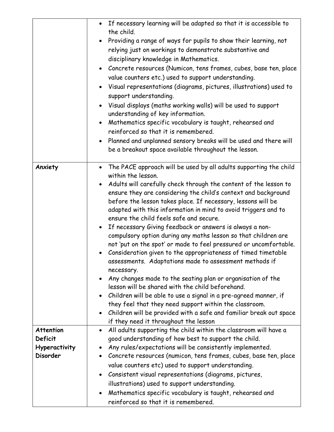|                                                                 | • If necessary learning will be adapted so that it is accessible to<br>the child.<br>Providing a range of ways for pupils to show their learning, not<br>relying just on workings to demonstrate substantive and<br>disciplinary knowledge in Mathematics.<br>• Concrete resources (Numicon, tens frames, cubes, base ten, place<br>value counters etc.) used to support understanding.<br>Visual representations (diagrams, pictures, illustrations) used to<br>support understanding.<br>Visual displays (maths working walls) will be used to support<br>$\bullet$<br>understanding of key information.<br>Mathematics specific vocabulary is taught, rehearsed and<br>$\bullet$<br>reinforced so that it is remembered.<br>Planned and unplanned sensory breaks will be used and there will<br>$\bullet$<br>be a breakout space available throughout the lesson.                                                                                                                                                                                                                                                                                          |
|-----------------------------------------------------------------|---------------------------------------------------------------------------------------------------------------------------------------------------------------------------------------------------------------------------------------------------------------------------------------------------------------------------------------------------------------------------------------------------------------------------------------------------------------------------------------------------------------------------------------------------------------------------------------------------------------------------------------------------------------------------------------------------------------------------------------------------------------------------------------------------------------------------------------------------------------------------------------------------------------------------------------------------------------------------------------------------------------------------------------------------------------------------------------------------------------------------------------------------------------|
| Anxiety                                                         | The PACE approach will be used by all adults supporting the child<br>$\bullet$<br>within the lesson.<br>Adults will carefully check through the content of the lesson to<br>ensure they are considering the child's context and background<br>before the lesson takes place. If necessary, lessons will be<br>adapted with this information in mind to avoid triggers and to<br>ensure the child feels safe and secure.<br>If necessary Giving feedback or answers is always a non-<br>$\bullet$<br>compulsory option during any maths lesson so that children are<br>not 'put on the spot' or made to feel pressured or uncomfortable.<br>Consideration given to the appropriateness of timed timetable<br>$\bullet$<br>assessments. Adaptations made to assessment methods if<br>necessary.<br>Any changes made to the seating plan or organisation of the<br>lesson will be shared with the child beforehand.<br>Children will be able to use a signal in a pre-agreed manner, if<br>they feel that they need support within the classroom.<br>Children will be provided with a safe and familiar break out space<br>if they need it throughout the lesson |
| <b>Attention</b><br>Deficit<br>Hyperactivity<br><b>Disorder</b> | All adults supporting the child within the classroom will have a<br>good understanding of how best to support the child.<br>Any rules/expectations will be consistently implemented.<br>$\bullet$<br>Concrete resources (numicon, tens frames, cubes, base ten, place<br>value counters etc) used to support understanding.<br>Consistent visual representations (diagrams, pictures,<br>illustrations) used to support understanding.<br>Mathematics specific vocabulary is taught, rehearsed and<br>$\bullet$<br>reinforced so that it is remembered.                                                                                                                                                                                                                                                                                                                                                                                                                                                                                                                                                                                                       |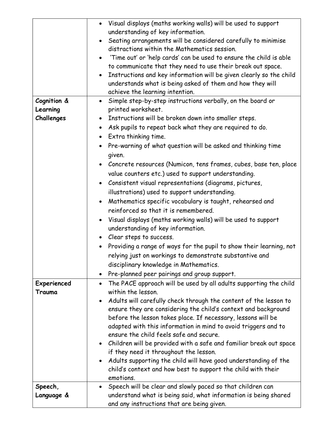| Cognition &            | • Visual displays (maths working walls) will be used to support<br>understanding of key information.<br>Seating arrangements will be considered carefully to minimise<br>$\bullet$<br>distractions within the Mathematics session.<br>'Time out' or 'help cards' can be used to ensure the child is able<br>to communicate that they need to use their break out space.<br>Instructions and key information will be given clearly so the child<br>$\bullet$<br>understands what is being asked of them and how they will<br>achieve the learning intention.<br>• Simple step-by-step instructions verbally, on the board or                                                                                                                                |
|------------------------|------------------------------------------------------------------------------------------------------------------------------------------------------------------------------------------------------------------------------------------------------------------------------------------------------------------------------------------------------------------------------------------------------------------------------------------------------------------------------------------------------------------------------------------------------------------------------------------------------------------------------------------------------------------------------------------------------------------------------------------------------------|
| Learning<br>Challenges | printed worksheet.<br>• Instructions will be broken down into smaller steps.<br>• Ask pupils to repeat back what they are required to do.<br>Extra thinking time.<br>$\bullet$<br>Pre-warning of what question will be asked and thinking time                                                                                                                                                                                                                                                                                                                                                                                                                                                                                                             |
|                        | given.<br>Concrete resources (Numicon, tens frames, cubes, base ten, place<br>value counters etc.) used to support understanding.<br>Consistent visual representations (diagrams, pictures,<br>$\bullet$<br>illustrations) used to support understanding.<br>Mathematics specific vocabulary is taught, rehearsed and<br>$\bullet$<br>reinforced so that it is remembered.<br>• Visual displays (maths working walls) will be used to support<br>understanding of key information.<br>• Clear steps to success.<br>• Providing a range of ways for the pupil to show their learning, not<br>relying just on workings to demonstrate substantive and<br>disciplinary knowledge in Mathematics.<br>Pre-planned peer pairings and group support.<br>$\bullet$ |
| Experienced<br>Trauma  | The PACE approach will be used by all adults supporting the child<br>within the lesson.<br>Adults will carefully check through the content of the lesson to<br>ensure they are considering the child's context and background<br>before the lesson takes place. If necessary, lessons will be<br>adapted with this information in mind to avoid triggers and to<br>ensure the child feels safe and secure.<br>• Children will be provided with a safe and familiar break out space<br>if they need it throughout the lesson.<br>Adults supporting the child will have good understanding of the                                                                                                                                                            |
| Speech,                | child's context and how best to support the child with their<br>emotions.<br>Speech will be clear and slowly paced so that children can<br>$\bullet$                                                                                                                                                                                                                                                                                                                                                                                                                                                                                                                                                                                                       |
| Language &             | understand what is being said, what information is being shared<br>and any instructions that are being given.                                                                                                                                                                                                                                                                                                                                                                                                                                                                                                                                                                                                                                              |